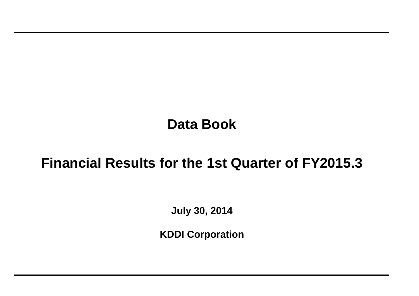# **Data Book**

## **Financial Results for the 1st Quarter of FY2015.3**

**July 30, 2014**

**KDDI Corporation**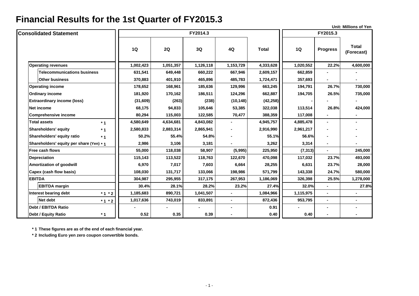|                                          |           |           |           |                |              |           |                          | <b>Unit: Millions of Yen</b> |
|------------------------------------------|-----------|-----------|-----------|----------------|--------------|-----------|--------------------------|------------------------------|
| <b>Consolidated Statement</b>            |           |           | FY2014.3  |                |              |           | FY2015.3                 |                              |
|                                          | <b>1Q</b> | 2Q        | 3Q        | 4Q             | <b>Total</b> | 1Q        | <b>Progress</b>          | <b>Total</b><br>(Forecast)   |
| <b>Operating revenues</b>                | 1,002,423 | 1,051,357 | 1,126,118 | 1,153,729      | 4,333,628    | 1,020,552 | 22.2%                    | 4,600,000                    |
| <b>Telecommunications business</b>       | 631,541   | 649,448   | 660,222   | 667,946        | 2,609,157    | 662,859   |                          |                              |
| <b>Other business</b>                    | 370,883   | 401,910   | 465,896   | 485,783        | 1,724,471    | 357,693   |                          |                              |
| <b>Operating income</b>                  | 178,652   | 168,961   | 185,636   | 129,996        | 663,245      | 194,791   | 26.7%                    | 730,000                      |
| <b>Ordinary income</b>                   | 181,920   | 170,162   | 186,511   | 124,296        | 662,887      | 194,705   | 26.5%                    | 735,000                      |
| <b>Extraordinary income (loss)</b>       | (31,609)  | (263)     | (238)     | (10, 148)      | (42, 258)    |           |                          |                              |
| <b>Net income</b>                        | 68,175    | 94,833    | 105,646   | 53,385         | 322,038      | 113,514   | 26.8%                    | 424,000                      |
| <b>Comprehensive income</b>              | 80,294    | 115,003   | 122,585   | 70,477         | 388,359      | 117,008   |                          |                              |
| <b>Total assets</b><br>$*1$              | 4,580,649 | 4,634,681 | 4,843,082 |                | 4,945,757    | 4,885,478 | $\overline{\phantom{0}}$ |                              |
| Shareholders' equity<br>$*1$             | 2,580,833 | 2,883,314 | 2,865,941 | $\blacksquare$ | 2,916,990    | 2,961,217 |                          |                              |
| Shareholders' equity ratio<br>$*1$       | 50.2%     | 55.4%     | 54.8%     |                | 55.1%        | 56.6%     |                          |                              |
| Shareholders' equity per share (Yen) * 1 | 2,986     | 3,106     | 3,181     |                | 3,262        | 3,314     |                          |                              |
| Free cash flows                          | 55,000    | 118,038   | 58,907    | (5,995)        | 225,950      | (7, 313)  | $\blacksquare$           | 245,000                      |
| <b>Depreciation</b>                      | 115,143   | 113,522   | 118,763   | 122,670        | 470,098      | 117,032   | 23.7%                    | 493,000                      |
| <b>Amortization of goodwill</b>          | 6,970     | 7,017     | 7,603     | 6,664          | 28,255       | 6,631     | 23.7%                    | 28,000                       |
| Capex (cash flow basis)                  | 108,030   | 131,717   | 133,066   | 198,986        | 571,799      | 143,338   | 24.7%                    | 580,000                      |
| <b>EBITDA</b>                            | 304,987   | 295,955   | 317,175   | 267,953        | 1,186,069    | 326,398   | 25.5%                    | 1,278,000                    |
| <b>EBITDA margin</b>                     | 30.4%     | 28.1%     | 28.2%     | 23.2%          | 27.4%        | 32.0%     | $\blacksquare$           | 27.8%                        |
| Interest bearing debt<br>$*1 * 2$        | 1,185,683 | 890,721   | 1,041,507 | $\blacksquare$ | 1,084,966    | 1,115,975 |                          |                              |
| Net debt<br>$*1 * 2$                     | 1,017,636 | 743,019   | 833,891   | $\blacksquare$ | 872,436      | 953,795   | $\blacksquare$           | $\blacksquare$               |
| Debt / EBITDA Ratio                      |           |           |           | $\blacksquare$ | 0.91         |           | ٠                        |                              |
| $*1$<br><b>Debt / Equity Ratio</b>       | 0.52      | 0.35      | 0.39      | $\blacksquare$ | 0.40         | 0.40      |                          |                              |

**\* 1 These figures are as of the end of each financial year.**

**\* 2 Including Euro yen zero coupon convertible bonds.**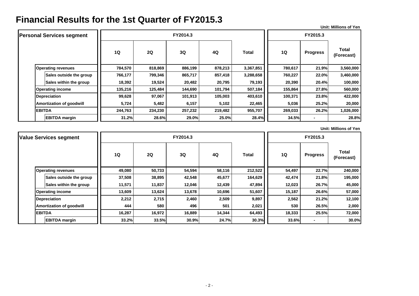**Unit: Millions of Yen**

| <b>Personal Services segment</b> |         |         | FY2015.3 |         |              |         |                 |                            |
|----------------------------------|---------|---------|----------|---------|--------------|---------|-----------------|----------------------------|
|                                  | 1Q      | 2Q      | 3Q       | 4Q      | <b>Total</b> | 1Q      | <b>Progress</b> | <b>Total</b><br>(Forecast) |
| <b>Operating revenues</b>        | 784,570 | 818,869 | 886,199  | 878,213 | 3,367,851    | 780,617 | 21.9%           | 3,560,000                  |
| Sales outside the group          | 766,177 | 799,346 | 865,717  | 857,418 | 3,288,658    | 760,227 | 22.0%           | 3,460,000                  |
| Sales within the group           | 18,392  | 19,524  | 20,482   | 20,795  | 79,193       | 20,390  | 20.4%           | 100,000                    |
| <b>Operating income</b>          | 135,216 | 125,484 | 144,690  | 101,794 | 507,184      | 155,864 | 27.8%           | 560,000                    |
| <b>Depreciation</b>              | 99,628  | 97,067  | 101,913  | 105,003 | 403,610      | 100,371 | 23.8%           | 422,000                    |
| <b>Amortization of goodwill</b>  | 5,724   | 5,482   | 6,157    | 5,102   | 22,465       | 5,036   | 25.2%           | 20,000                     |
| <b>EBITDA</b>                    | 244,763 | 234,230 | 257,232  | 219,482 | 955,707      | 269,033 | 26.2%           | 1,026,000                  |
| <b>EBITDA</b> margin             | 31.2%   | 28.6%   | 29.0%    | 25.0%   | 28.4%        | 34.5%   |                 | 28.8%                      |

**Unit: Millions of Yen**

| <b>Value Services segment</b> |        |        | FY2015.3 |        |              |                |                 |                            |
|-------------------------------|--------|--------|----------|--------|--------------|----------------|-----------------|----------------------------|
|                               | 1Q     | 2Q     | 3Q       | 4Q     | <b>Total</b> | 1Q             | <b>Progress</b> | <b>Total</b><br>(Forecast) |
| <b>Operating revenues</b>     | 49,080 | 50,733 | 54,594   | 58,116 | 212,522      | 54,497         | 22.7%           | 240,000                    |
| Sales outside the group       | 37,508 | 38,895 | 42,548   | 45,677 | 164,629      | 42,474         | 21.8%           | 195,000                    |
| Sales within the group        | 11,571 | 11,837 | 12,046   | 12,439 | 47,894       | 12,023         | 26.7%           | 45,000                     |
| <b>Operating income</b>       | 13,609 | 13,624 | 13,678   | 10,696 | 51,607       | 15,187         | 26.6%           | 57,000                     |
| <b>Depreciation</b>           | 2,212  | 2,715  | 2,460    | 2,509  | 9,897        | 2,562<br>21.2% |                 | 12,100                     |
| Amortization of goodwill      | 444    | 580    | 496      | 501    | 2,021        | 530            | 26.5%           | 2,000                      |
| <b>EBITDA</b>                 | 16,287 | 16,972 | 16,889   | 14,344 | 64,493       | 18,333         | 25.5%           | 72,000                     |
| <b>EBITDA</b> margin          | 33.2%  | 33.5%  | 30.9%    | 24.7%  | 30.3%        | 33.6%          | ٠               | 30.0%                      |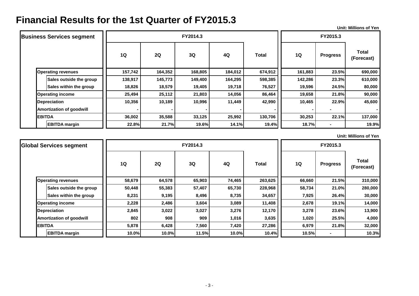**Unit: Millions of Yen**

| <b>Business Services segment</b> |         |         |         | FY2015.3 |              |                 |                 |                            |
|----------------------------------|---------|---------|---------|----------|--------------|-----------------|-----------------|----------------------------|
|                                  | 1Q      | 2Q      | 3Q      | 4Q       | <b>Total</b> | 1Q              | <b>Progress</b> | <b>Total</b><br>(Forecast) |
| <b>Operating revenues</b>        | 157,742 | 164,352 | 168,805 | 184,012  | 674,912      | 161,883         | 23.5%           | 690,000                    |
| Sales outside the group          | 138,917 | 145,773 | 149,400 | 164,295  | 598,385      | 142,286         | 23.3%           | 610,000                    |
| <b>Sales within the group</b>    | 18,826  | 18,579  | 19,405  | 19,718   | 76,527       | 19,596          | 24.5%           | 80,000                     |
| <b>Operating income</b>          | 25,494  | 25,112  | 21,803  | 14,056   | 86,464       | 19,658          | 21.8%           | 90,000                     |
| Depreciation                     | 10,356  | 10,189  | 10,996  | 11,449   | 42,990       | 22.9%<br>10,465 |                 | 45,600                     |
| <b>Amortization of goodwill</b>  |         |         |         |          |              |                 |                 |                            |
| <b>EBITDA</b>                    | 36,002  | 35,588  | 33,125  | 25,992   | 130,706      | 30,253          | 22.1%           | 137,000                    |
| <b>EBITDA</b> margin             | 22.8%   | 21.7%   | 19.6%   | 14.1%    | 19.4%        | 18.7%           | ۰               | 19.9%                      |

**Unit: Millions of Yen**

| <b>Global Services segment</b>  |        |        | FY2015.3 |        |              |        |                 |                            |
|---------------------------------|--------|--------|----------|--------|--------------|--------|-----------------|----------------------------|
|                                 | 1Q     | 2Q     | 3Q       | 4Q     | <b>Total</b> | 1Q     | <b>Progress</b> | <b>Total</b><br>(Forecast) |
| <b>Operating revenues</b>       | 58,679 | 64,578 | 65,903   | 74,465 | 263,625      | 66,660 | 21.5%           | 310,000                    |
| Sales outside the group         | 50,448 | 55,383 | 57,407   | 65,730 | 228,968      | 58,734 | 21.0%           | 280,000                    |
| Sales within the group          | 8,231  | 9,195  | 8,496    | 8,735  | 34,657       | 7,925  | 26.4%           | 30,000                     |
| <b>Operating income</b>         | 2,228  | 2,486  | 3,604    | 3,089  | 11,408       | 2,678  | 19.1%           | 14,000                     |
| <b>Depreciation</b>             | 2,845  | 3,022  | 3,027    | 3,276  | 12,170       | 3,278  | 23.6%           | 13,900                     |
| <b>Amortization of goodwill</b> | 802    | 908    | 909      | 1,016  | 3,635        | 1,020  | 25.5%           | 4,000                      |
| <b>EBITDA</b>                   | 5,878  | 6,428  | 7,560    | 7,420  | 27,286       | 6,979  | 21.8%           | 32,000                     |
| <b>EBITDA</b> margin            | 10.0%  | 10.0%  | 11.5%    | 10.0%  | 10.4%        | 10.5%  | $\blacksquare$  | 10.3%                      |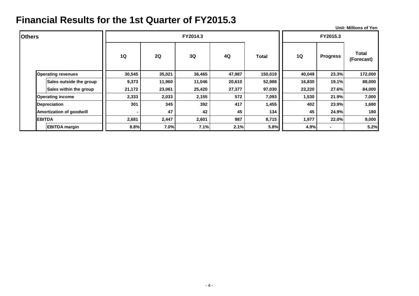**Unit: Millions of Yen**

| <b>Others</b> |                                 |        |        | FY2014.3  |        |              |           | FY2015.3        |                            |  |
|---------------|---------------------------------|--------|--------|-----------|--------|--------------|-----------|-----------------|----------------------------|--|
|               |                                 | 1Q     | 2Q     | <b>3Q</b> | 4Q     | <b>Total</b> | <b>1Q</b> | <b>Progress</b> | <b>Total</b><br>(Forecast) |  |
|               | <b>Operating revenues</b>       | 30,545 | 35,021 | 36,465    | 47,987 | 150,019      | 40,049    | 23.3%           | 172,000                    |  |
|               | Sales outside the group         | 9,373  | 11,960 | 11,046    | 20,610 | 52,988       | 16,830    | 19.1%           | 88,000                     |  |
|               | Sales within the group          | 21,172 | 23,061 | 25,420    | 27,377 | 97,030       | 23,220    | 27.6%           | 84,000                     |  |
|               | <b>Operating income</b>         | 2,333  | 2,033  | 2,155     | 572    | 7,093        | 1,530     | 21.9%           | 7,000                      |  |
|               | <b>Depreciation</b>             | 301    | 345    | 392       | 417    | 1,455        | 402       | 23.9%<br>1,680  |                            |  |
|               | <b>Amortization of goodwill</b> | ۰      | 47     | 42        | 45     | 134          | 45        | 24.9%           | 180                        |  |
|               | <b>EBITDA</b>                   | 2,681  | 2,447  | 2,601     | 987    | 8,715        | 1,977     | 22.0%           | 9,000                      |  |
|               | <b>EBITDA</b> margin            | 8.8%   | 7.0%   | 7.1%      | 2.1%   | 5.8%         | 4.9%      |                 | 5.2%                       |  |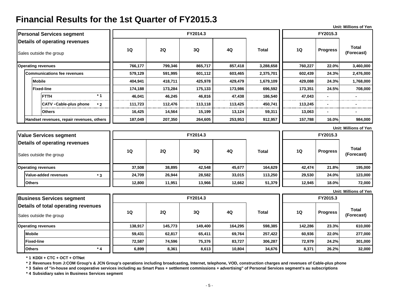|                                                                 |           |          |          |         |              |         |                 | <b>Unit: Millions of Yen</b> |
|-----------------------------------------------------------------|-----------|----------|----------|---------|--------------|---------|-----------------|------------------------------|
| <b>Personal Services segment</b>                                |           |          | FY2014.3 |         |              |         | FY2015.3        |                              |
| Details of operating revenues<br>Sales outside the group        | 1Q        | 2Q       | 3Q       | 4Q      | <b>Total</b> | 1Q      | <b>Progress</b> | <b>Total</b><br>(Forecast)   |
| <b>Operating revenues</b>                                       | 766,177   | 799,346  | 865,717  | 857,418 | 3,288,658    | 760,227 | 22.0%           | 3,460,000                    |
| <b>Communications fee revenues</b>                              | 579,129   | 591,995  | 601,112  | 603,465 | 2,375,701    | 602,439 | 2,476,000       |                              |
| <b>Mobile</b>                                                   | 404,941   | 418,711  | 425,978  | 429,479 | 1,679,109    | 429,088 | 24.3%           | 1,768,000                    |
| <b>Fixed-line</b>                                               | 174,188   | 173,284  | 175,133  | 173,986 | 696,592      | 173,351 | 24.5%           | 708,000                      |
| $*1$<br><b>FTTH</b>                                             | 46,041    | 46,245   | 46,816   | 47,438  | 186,540      | 47,043  |                 |                              |
| <b>CATV · Cable-plus phone</b><br>$*2$                          | 111,723   | 112,476  | 113,118  | 113,425 | 450,741      | 113,245 |                 |                              |
| <b>Others</b>                                                   | 16,425    | 14,564   | 15,199   | 13,124  | 59,311       | 13,063  |                 |                              |
| Handset revenues, repair revenues, others                       | 187,049   | 207,350  | 264,605  | 253,953 | 912,957      | 157,788 | 16.0%           | 984,000                      |
|                                                                 |           |          |          |         |              |         |                 | <b>Unit: Millions of Yen</b> |
| <b>Value Services segment</b>                                   |           | FY2014.3 |          |         |              |         |                 |                              |
| <b>Details of operating revenues</b><br>Sales outside the group | <b>1Q</b> | 2Q       | 3Q       | 4Q      | <b>Total</b> | 1Q      | <b>Progress</b> | <b>Total</b><br>(Forecast)   |
| <b>Operating revenues</b>                                       | 37,508    | 38,895   | 42,548   | 45,677  | 164,629      | 42,474  | 21.8%           | 195,000                      |
| Value-added revenues<br>$*3$                                    | 24,709    | 26.944   | 28,582   | 33,015  | 113,250      | 29,530  | 24.0%           | 123,000                      |
| <b>Others</b>                                                   | 12,800    | 11,951   | 13,966   | 12,662  | 51,379       | 12,945  | 18.0%           | 72,000                       |
|                                                                 |           |          |          |         |              |         |                 | <b>Unit: Millions of Yen</b> |
| <b>Business Services segment</b>                                |           |          | FY2014.3 |         |              |         | FY2015.3        |                              |
| Details of total operating revenues<br>Sales outside the group  | <b>1Q</b> | 2Q       | 3Q       | 4Q      | <b>Total</b> | 1Q      | <b>Progress</b> | <b>Total</b><br>(Forecast)   |
| <b>Operating revenues</b>                                       | 138,917   | 145,773  | 149,400  | 164,295 | 598,385      | 142,286 | 23.3%           | 610,000                      |

**\* 1 KDDI + CTC + OCT + OTNet**

**\* 2 Revenues from J:COM Group's & JCN Group's operations including broadcasting, Internet, telephone, VOD, construction charges and revenues of Cable-plus phone** 

**Mobile 59,431 62,817 65,411 69,764 257,422 60,936 22.0% 277,000 Fixed-line 72,587 74,596 75,376 83,727 306,287 72,979 24.2% 301,000 Others 6,899 8,361 8,613 10,804 34,676 8,371 26.2% 32,000**

**\* 3 Sales of "in-house and cooperative services including au Smart Pass + settlement commissions + advertising" of Personal Services segment's au subscriptions**

**\* 4 Subsidiary sales in Business Services segment**

**\* 4**